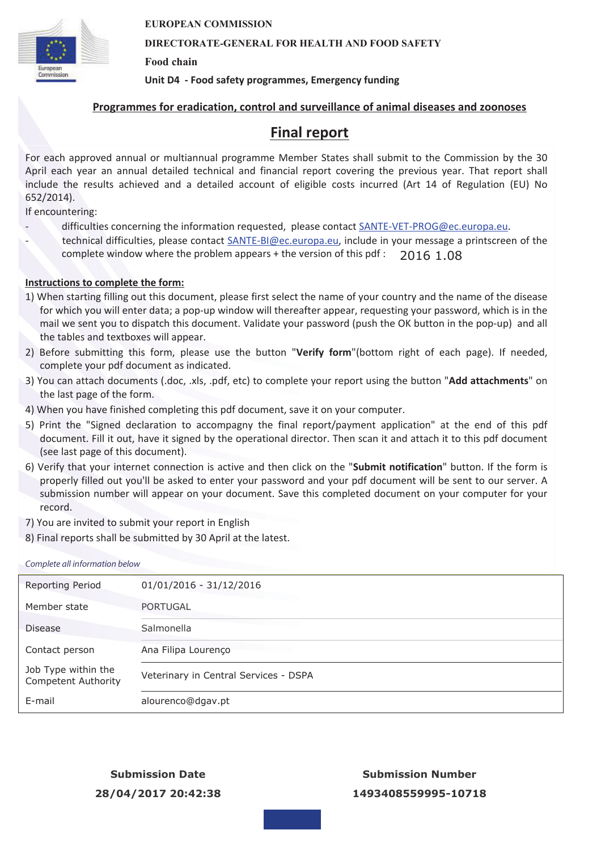

#### **DIRECTORATE-GENERAL FOR HEALTH AND FOOD SAFETY**

**Food chain** 

**Unit D4 - Food safety programmes, Emergency funding**

### **Programmes for eradication, control and surveillance of animal diseases and zoonoses**

### **Final report**

For each approved annual or multiannual programme Member States shall submit to the Commission by the 30 April each year an annual detailed technical and financial report covering the previous year. That report shall include the results achieved and a detailed account of eligible costs incurred (Art 14 of Regulation (EU) No 652/2014).

If encountering:

- difficulties concerning the information requested, please contact SANTE-VET-PROG@ec.europa.eu.
- technical difficulties, please contact SANTE-BI@ec.europa.eu, include in your message a printscreen of the complete window where the problem appears + the version of this pdf : 2016 1.08

### **Instructions to complete the form:**

- 1) When starting filling out this document, please first select the name of your country and the name of the disease for which you will enter data; a pop-up window will thereafter appear, requesting your password, which is in the mail we sent you to dispatch this document. Validate your password (push the OK button in the pop-up) and all the tables and textboxes will appear.
- 2) Before submitting this form, please use the button "**Verify form**"(bottom right of each page). If needed, complete your pdf document as indicated.
- 3) You can attach documents (.doc, .xls, .pdf, etc) to complete your report using the button "**Add attachments**" on the last page of the form.
- 4) When you have finished completing this pdf document, save it on your computer.
- 5) Print the "Signed declaration to accompagny the final report/payment application" at the end of this pdf document. Fill it out, have it signed by the operational director. Then scan it and attach it to this pdf document (see last page of this document).
- 6) Verify that your internet connection is active and then click on the "**Submit notification**" button. If the form is properly filled out you'll be asked to enter your password and your pdf document will be sent to our server. A submission number will appear on your document. Save this completed document on your computer for your record.
- 7) You are invited to submit your report in English
- 8) Final reports shall be submitted by 30 April at the latest.

#### Complete all information below

| Reporting Period                                  | $01/01/2016 - 31/12/2016$             |  |
|---------------------------------------------------|---------------------------------------|--|
| Member state                                      | <b>PORTUGAL</b>                       |  |
| <b>Disease</b>                                    | Salmonella                            |  |
| Contact person                                    | Ana Filipa Lourenço                   |  |
| Job Type within the<br><b>Competent Authority</b> | Veterinary in Central Services - DSPA |  |
| E-mail                                            | alourenco@dgav.pt                     |  |

**Submission Date 28/04/2017 20:42:38**

**Submission Number 1493408559995-10718**

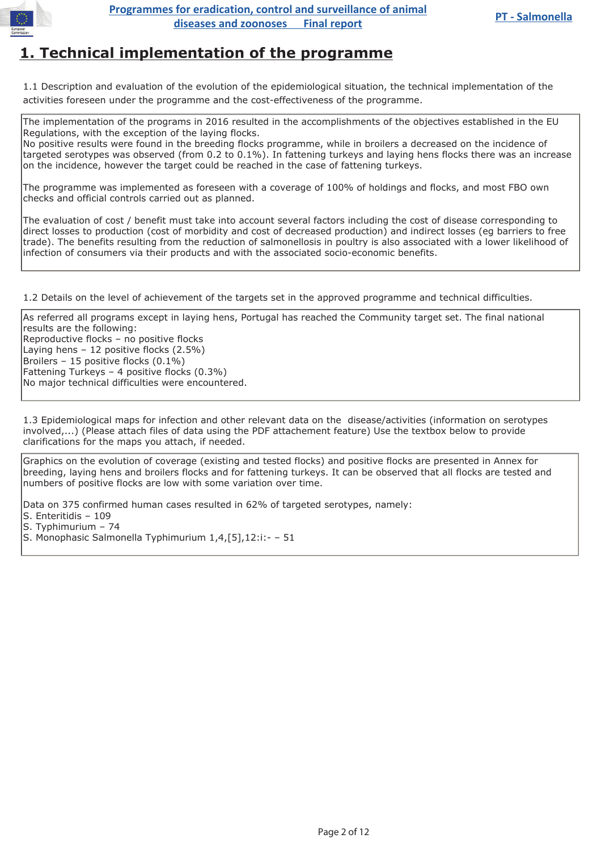

## **1. Technical implementation of the programme**

1.1 Description and evaluation of the evolution of the epidemiological situation, the technical implementation of the activities foreseen under the programme and the cost-effectiveness of the programme.

The implementation of the programs in 2016 resulted in the accomplishments of the objectives established in the EU Regulations, with the exception of the laying flocks.

No positive results were found in the breeding flocks programme, while in broilers a decreased on the incidence of targeted serotypes was observed (from 0.2 to 0.1%). In fattening turkeys and laying hens flocks there was an increase on the incidence, however the target could be reached in the case of fattening turkeys.

The programme was implemented as foreseen with a coverage of 100% of holdings and flocks, and most FBO own checks and official controls carried out as planned.

The evaluation of cost / benefit must take into account several factors including the cost of disease corresponding to direct losses to production (cost of morbidity and cost of decreased production) and indirect losses (eg barriers to free trade). The benefits resulting from the reduction of salmonellosis in poultry is also associated with a lower likelihood of infection of consumers via their products and with the associated socio-economic benefits.

1.2 Details on the level of achievement of the targets set in the approved programme and technical difficulties.

As referred all programs except in laying hens, Portugal has reached the Community target set. The final national results are the following: Reproductive flocks – no positive flocks Laying hens – 12 positive flocks (2.5%) Broilers – 15 positive flocks (0.1%) Fattening Turkeys – 4 positive flocks (0.3%) No major technical difficulties were encountered.

1.3 Epidemiological maps for infection and other relevant data on the disease/activities (information on serotypes involved,...) (Please attach files of data using the PDF attachement feature) Use the textbox below to provide clarifications for the maps you attach, if needed.

Graphics on the evolution of coverage (existing and tested flocks) and positive flocks are presented in Annex for breeding, laying hens and broilers flocks and for fattening turkeys. It can be observed that all flocks are tested and numbers of positive flocks are low with some variation over time.

Data on 375 confirmed human cases resulted in 62% of targeted serotypes, namely: S. Enteritidis – 109 S. Typhimurium – 74 S. Monophasic Salmonella Typhimurium 1,4,[5],12:i:- – 51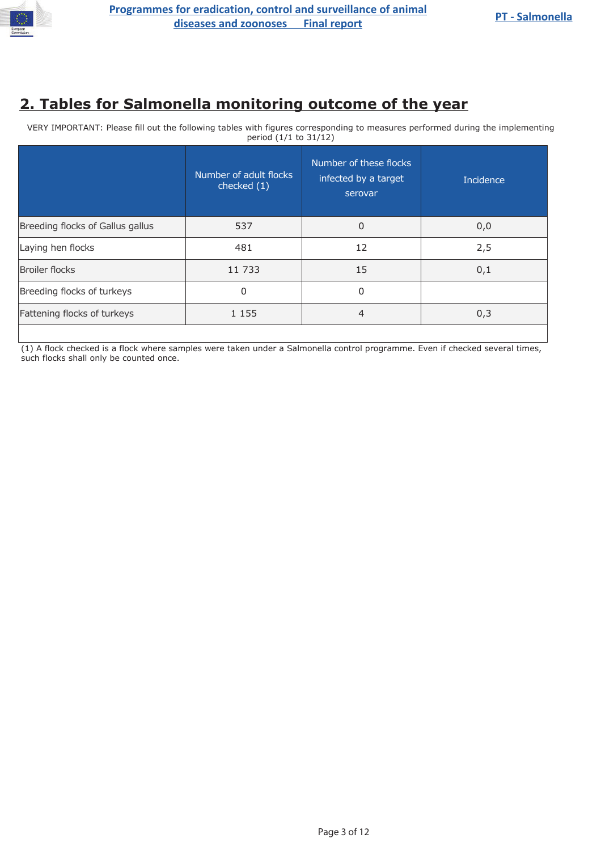

# **2. Tables for Salmonella monitoring outcome of the year**

VERY IMPORTANT: Please fill out the following tables with figures corresponding to measures performed during the implementing period (1/1 to 31/12)

|                                  | Number of adult flocks<br>checked (1) | Number of these flocks<br>infected by a target<br>serovar | <b>Incidence</b> |
|----------------------------------|---------------------------------------|-----------------------------------------------------------|------------------|
| Breeding flocks of Gallus gallus | 537                                   | 0                                                         | 0,0              |
| Laying hen flocks                | 481                                   | 12                                                        | 2,5              |
| <b>Broiler flocks</b>            | 11 733                                | 15                                                        | 0,1              |
| Breeding flocks of turkeys       | 0                                     | 0                                                         |                  |
| Fattening flocks of turkeys      | 1 1 5 5                               | $\overline{4}$                                            | 0,3              |
|                                  |                                       |                                                           |                  |

(1) A flock checked is a flock where samples were taken under a Salmonella control programme. Even if checked several times, such flocks shall only be counted once.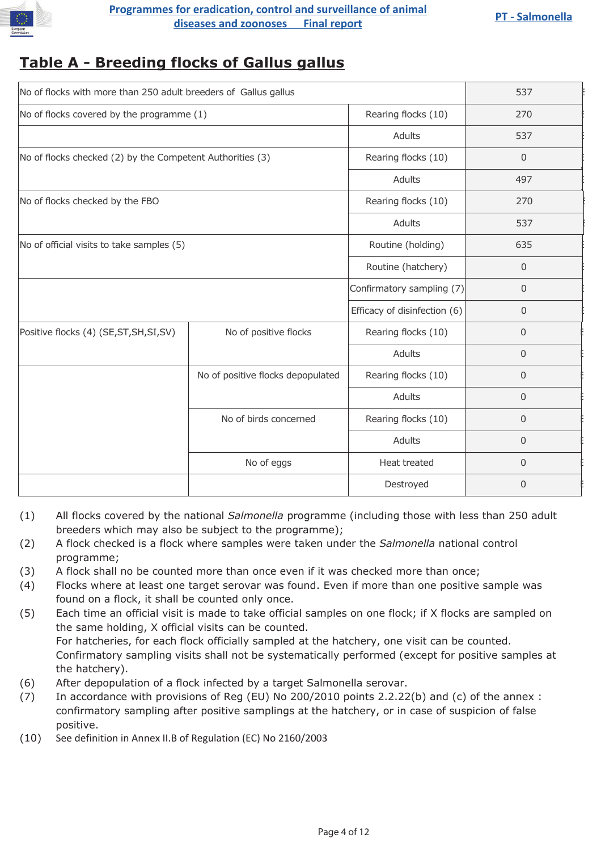

## **Table A - Breeding flocks of Gallus gallus**

| No of flocks with more than 250 adult breeders of Gallus gallus | 537                               |                              |                |
|-----------------------------------------------------------------|-----------------------------------|------------------------------|----------------|
| No of flocks covered by the programme (1)                       |                                   | Rearing flocks (10)          | 270            |
|                                                                 |                                   | Adults                       | 537            |
| No of flocks checked (2) by the Competent Authorities (3)       |                                   | Rearing flocks (10)          | $\mathbf 0$    |
|                                                                 |                                   | Adults                       | 497            |
| No of flocks checked by the FBO                                 |                                   | Rearing flocks (10)          | 270            |
|                                                                 |                                   | Adults                       | 537            |
| No of official visits to take samples (5)                       |                                   | Routine (holding)            | 635            |
|                                                                 |                                   | Routine (hatchery)           | $\overline{0}$ |
|                                                                 |                                   | Confirmatory sampling (7)    | $\mathbf 0$    |
|                                                                 |                                   | Efficacy of disinfection (6) | $\mathbf 0$    |
| Positive flocks (4) (SE, ST, SH, SI, SV)                        | No of positive flocks             | Rearing flocks (10)          | $\mathbf 0$    |
|                                                                 |                                   | Adults                       | $\mathbf 0$    |
|                                                                 | No of positive flocks depopulated | Rearing flocks (10)          | $\mathbf 0$    |
|                                                                 |                                   | Adults                       | $\mathbf 0$    |
|                                                                 | No of birds concerned             | Rearing flocks (10)          | $\mathbf{0}$   |
|                                                                 |                                   | Adults                       | $\mathbf 0$    |
|                                                                 | No of eggs                        | Heat treated                 | $\mathbf{0}$   |
|                                                                 |                                   | Destroyed                    | $\mathbf{0}$   |

- (1) All flocks covered by the national *Salmonella* programme (including those with less than 250 adult breeders which may also be subject to the programme);
- (2) A flock checked is a flock where samples were taken under the *Salmonella* national control programme;
- (3) A flock shall no be counted more than once even if it was checked more than once;
- (4) Flocks where at least one target serovar was found. Even if more than one positive sample was found on a flock, it shall be counted only once.
- (5) Each time an official visit is made to take official samples on one flock; if X flocks are sampled on the same holding, X official visits can be counted. For hatcheries, for each flock officially sampled at the hatchery, one visit can be counted. Confirmatory sampling visits shall not be systematically performed (except for positive samples at the hatchery).
- (6) After depopulation of a flock infected by a target Salmonella serovar.
- (7) In accordance with provisions of Reg (EU) No 200/2010 points 2.2.22(b) and (c) of the annex : confirmatory sampling after positive samplings at the hatchery, or in case of suspicion of false positive.
- (10) See definition in Annex II.B of Regulation (EC) No 2160/2003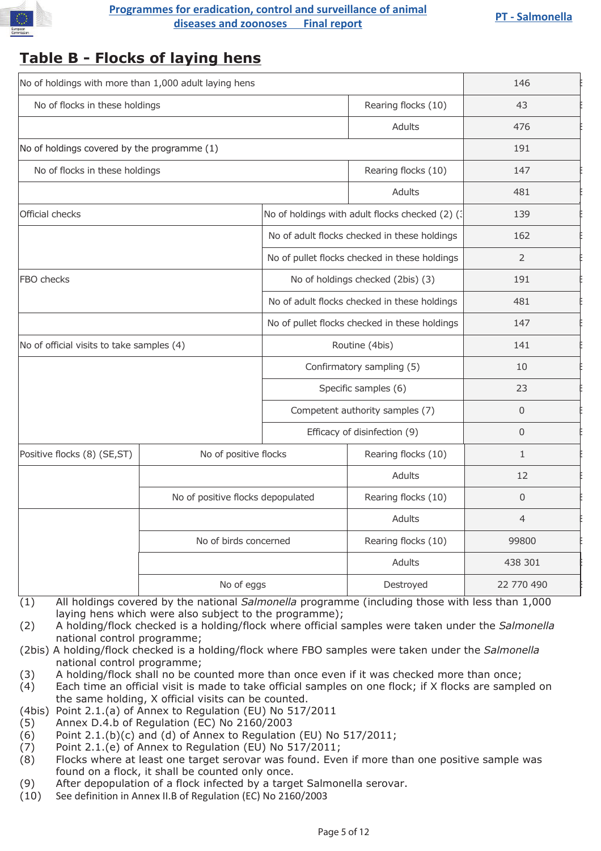

# **Programmes for eradication, control and surveillance of animal**<br> **diseases and zoonoses** Final report<br> **EXPLANCE AND REPORT**

# **Table B - Flocks of laying hens**

| No of holdings with more than 1,000 adult laying hens |                                                            |                                               |                                                  | 146            |
|-------------------------------------------------------|------------------------------------------------------------|-----------------------------------------------|--------------------------------------------------|----------------|
| No of flocks in these holdings                        |                                                            |                                               | Rearing flocks (10)                              | 43             |
|                                                       |                                                            |                                               | <b>Adults</b>                                    | 476            |
| No of holdings covered by the programme (1)           |                                                            |                                               |                                                  | 191            |
| No of flocks in these holdings                        |                                                            |                                               | Rearing flocks (10)                              | 147            |
|                                                       |                                                            |                                               | <b>Adults</b>                                    | 481            |
| Official checks                                       |                                                            |                                               | No of holdings with adult flocks checked (2) (3) | 139            |
|                                                       |                                                            |                                               | No of adult flocks checked in these holdings     | 162            |
|                                                       |                                                            |                                               | No of pullet flocks checked in these holdings    | $\overline{2}$ |
| FBO checks                                            |                                                            |                                               | No of holdings checked (2bis) (3)                | 191            |
|                                                       |                                                            | No of adult flocks checked in these holdings  |                                                  | 481            |
|                                                       |                                                            | No of pullet flocks checked in these holdings |                                                  | 147            |
| No of official visits to take samples (4)             |                                                            | Routine (4bis)                                |                                                  | 141            |
|                                                       |                                                            |                                               | Confirmatory sampling (5)                        | 10             |
|                                                       |                                                            | Specific samples (6)                          |                                                  | 23             |
|                                                       |                                                            | Competent authority samples (7)               |                                                  | $\Omega$       |
|                                                       |                                                            | Efficacy of disinfection (9)                  |                                                  | $\mathbf 0$    |
| Positive flocks (8) (SE,ST)                           | No of positive flocks                                      |                                               | Rearing flocks (10)                              | $\mathbf{1}$   |
|                                                       |                                                            |                                               | <b>Adults</b>                                    | 12             |
|                                                       | No of positive flocks depopulated<br>No of birds concerned |                                               | Rearing flocks (10)                              | $\Omega$       |
|                                                       |                                                            |                                               | Adults                                           | $\overline{4}$ |
|                                                       |                                                            |                                               | Rearing flocks (10)                              | 99800          |
|                                                       |                                                            |                                               | Adults                                           | 438 301        |
|                                                       | No of eggs                                                 |                                               | Destroyed                                        | 22 770 490     |

- (1) All holdings covered by the national *Salmonella* programme (including those with less than 1,000 laying hens which were also subject to the programme);
- (2) A holding/flock checked is a holding/flock where official samples were taken under the *Salmonella* national control programme;
- (2bis) A holding/flock checked is a holding/flock where FBO samples were taken under the *Salmonella* national control programme;
- (3) A holding/flock shall no be counted more than once even if it was checked more than once;
- (4) Each time an official visit is made to take official samples on one flock; if X flocks are sampled on the same holding, X official visits can be counted.
- (4bis) Point 2.1.(a) of Annex to Regulation (EU) No 517/2011
- (5) Annex D.4.b of Regulation (EC) No 2160/2003
- $(6)$  Point 2.1. $(b)(c)$  and  $(d)$  of Annex to Regulation (EU) No 517/2011;
- (7) Point 2.1.(e) of Annex to Regulation (EU) No 517/2011;
- (8) Flocks where at least one target serovar was found. Even if more than one positive sample was found on a flock, it shall be counted only once.
- (9) After depopulation of a flock infected by a target Salmonella serovar.
- (10) See definition in Annex II.B of Regulation (EC) No 2160/2003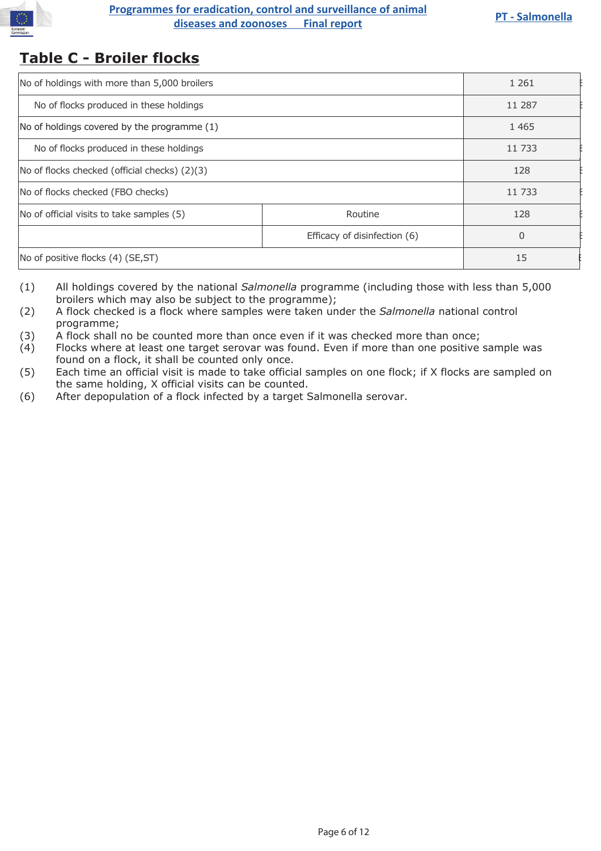

# **Programmes for eradication, control and surveillance of animal**<br> **diseases and zoonoses** Final report<br> **EXPLANCE AND REPORT**

## **Table C - Broiler flocks**

| No of holdings with more than 5,000 broilers  | 1 2 6 1                      |        |
|-----------------------------------------------|------------------------------|--------|
| No of flocks produced in these holdings       | 11 287                       |        |
| No of holdings covered by the programme (1)   | 1 4 6 5                      |        |
| No of flocks produced in these holdings       |                              | 11 733 |
| No of flocks checked (official checks) (2)(3) | 128                          |        |
| No of flocks checked (FBO checks)             | 11 733                       |        |
| No of official visits to take samples (5)     | Routine                      | 128    |
|                                               | Efficacy of disinfection (6) | 0      |
| No of positive flocks (4) (SE, ST)            | 15                           |        |
|                                               |                              |        |

- (1) All holdings covered by the national *Salmonella* programme (including those with less than 5,000 broilers which may also be subject to the programme);
- (2) A flock checked is a flock where samples were taken under the *Salmonella* national control programme;
- (3) A flock shall no be counted more than once even if it was checked more than once;
- (4) Flocks where at least one target serovar was found. Even if more than one positive sample was found on a flock, it shall be counted only once.
- (5) Each time an official visit is made to take official samples on one flock; if X flocks are sampled on the same holding, X official visits can be counted.
- (6) After depopulation of a flock infected by a target Salmonella serovar.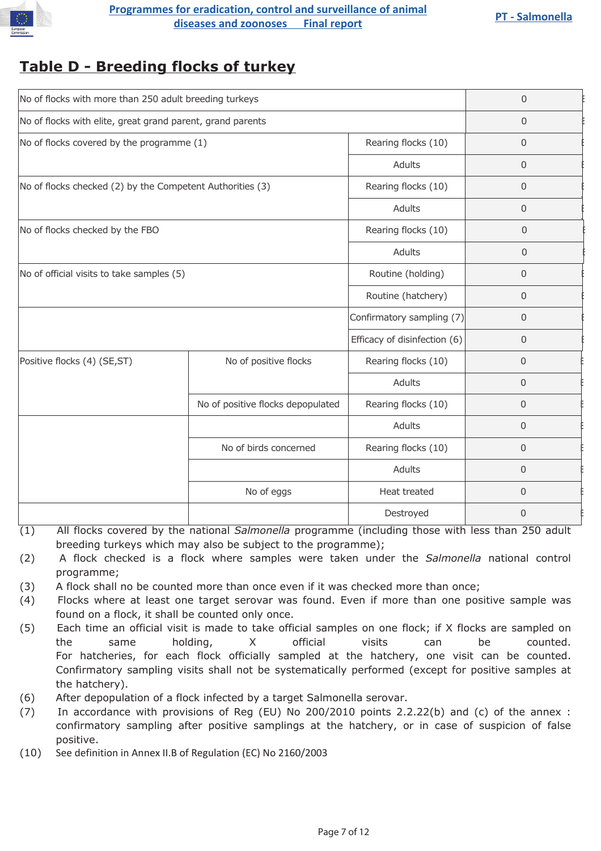

# **Table D - Breeding flocks of turkey**

| No of flocks with more than 250 adult breeding turkeys     | $\mathbf 0$                       |                              |                |
|------------------------------------------------------------|-----------------------------------|------------------------------|----------------|
| No of flocks with elite, great grand parent, grand parents | $\mathbf 0$                       |                              |                |
| No of flocks covered by the programme (1)                  |                                   | Rearing flocks (10)          | $\mathbf 0$    |
|                                                            |                                   | Adults                       | $\mathbf 0$    |
| No of flocks checked (2) by the Competent Authorities (3)  |                                   | Rearing flocks (10)          | $\mathbf 0$    |
|                                                            |                                   | Adults                       | $\mathbf 0$    |
| No of flocks checked by the FBO                            |                                   | Rearing flocks (10)          | $\mathbf 0$    |
|                                                            |                                   | Adults                       | $\mathbf{0}$   |
| No of official visits to take samples (5)                  |                                   | Routine (holding)            | $\mathbf 0$    |
|                                                            |                                   | Routine (hatchery)           | $\mathbf 0$    |
|                                                            |                                   | Confirmatory sampling (7)    | $\mathbf 0$    |
|                                                            |                                   | Efficacy of disinfection (6) | $\mathbf 0$    |
| Positive flocks (4) (SE,ST)                                | No of positive flocks             | Rearing flocks (10)          | $\Omega$       |
|                                                            |                                   | Adults                       | $\mathbf{0}$   |
|                                                            | No of positive flocks depopulated | Rearing flocks (10)          | $\mathbf{0}$   |
|                                                            |                                   | Adults                       | $\mathbf 0$    |
|                                                            | No of birds concerned             | Rearing flocks (10)          | 0              |
|                                                            |                                   | Adults                       | $\mathbf 0$    |
|                                                            | No of eggs                        | Heat treated                 | $\mathbf 0$    |
|                                                            |                                   | Destroyed                    | $\overline{0}$ |

- (1) All flocks covered by the national *Salmonella* programme (including those with less than 250 adult breeding turkeys which may also be subject to the programme);
- (2) A flock checked is a flock where samples were taken under the *Salmonella* national control programme;
- (3) A flock shall no be counted more than once even if it was checked more than once;
- (4) Flocks where at least one target serovar was found. Even if more than one positive sample was found on a flock, it shall be counted only once.
- (5) Each time an official visit is made to take official samples on one flock; if X flocks are sampled on the same holding, X official visits can be counted. For hatcheries, for each flock officially sampled at the hatchery, one visit can be counted. Confirmatory sampling visits shall not be systematically performed (except for positive samples at the hatchery).
- (6) After depopulation of a flock infected by a target Salmonella serovar.
- (7) In accordance with provisions of Reg (EU) No 200/2010 points 2.2.22(b) and (c) of the annex : confirmatory sampling after positive samplings at the hatchery, or in case of suspicion of false positive.
- (10) See definition in Annex II.B of Regulation (EC) No 2160/2003